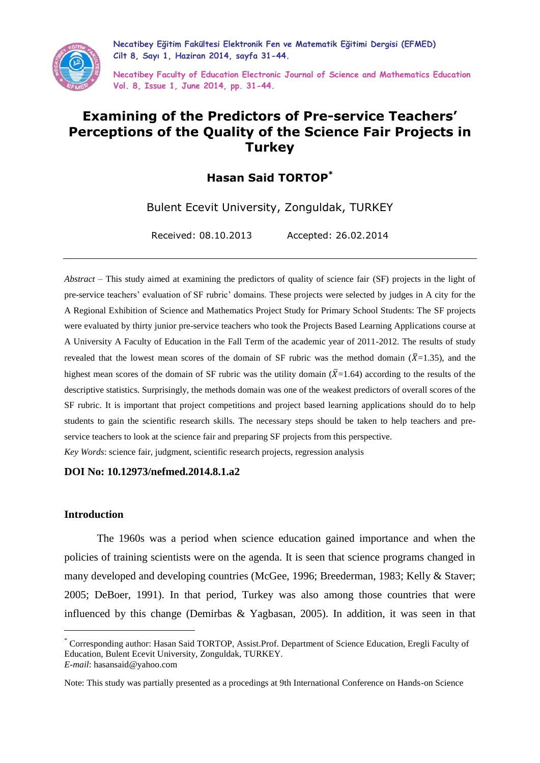

**Necatibey Eğitim Fakültesi Elektronik Fen ve Matematik Eğitimi Dergisi (EFMED) Cilt 8, Sayı 1, Haziran 2014, sayfa 31-44.**

**Necatibey Faculty of Education Electronic Journal of Science and Mathematics Education Vol. 8, Issue 1, June 2014, pp. 31-44.**

## **Examining of the Predictors of Pre-service Teachers' Perceptions of the Quality of the Science Fair Projects in Turkey**

## **Hasan Said TORTOP\***

Bulent Ecevit University, Zonguldak, TURKEY

Received: 08.10.2013 Accepted: 26.02.2014

*Abstract* – This study aimed at examining the predictors of quality of science fair (SF) projects in the light of pre-service teachers' evaluation of SF rubric' domains. These projects were selected by judges in A city for the A Regional Exhibition of Science and Mathematics Project Study for Primary School Students: The SF projects were evaluated by thirty junior pre-service teachers who took the Projects Based Learning Applications course at A University A Faculty of Education in the Fall Term of the academic year of 2011-2012. The results of study revealed that the lowest mean scores of the domain of SF rubric was the method domain ( $\bar{X}$ =1.35), and the highest mean scores of the domain of SF rubric was the utility domain  $(\bar{X}=1.64)$  according to the results of the descriptive statistics. Surprisingly, the methods domain was one of the weakest predictors of overall scores of the SF rubric. It is important that project competitions and project based learning applications should do to help students to gain the scientific research skills. The necessary steps should be taken to help teachers and preservice teachers to look at the science fair and preparing SF projects from this perspective.

*Key Words*: science fair, judgment, scientific research projects, regression analysis

#### **DOI No: 10.12973/nefmed.2014.8.1.a2**

#### **Introduction**

 $\overline{a}$ 

The 1960s was a period when science education gained importance and when the policies of training scientists were on the agenda. It is seen that science programs changed in many developed and developing countries (McGee, 1996; Breederman, 1983; Kelly & Staver; 2005; DeBoer, 1991). In that period, Turkey was also among those countries that were influenced by this change (Demirbas & Yagbasan, 2005). In addition, it was seen in that

<sup>\*</sup> Corresponding author: Hasan Said TORTOP, Assist.Prof. Department of Science Education, Eregli Faculty of Education, Bulent Ecevit University, Zonguldak, TURKEY. *E-mail*: hasansaid@yahoo.com

Note: This study was partially presented as a procedings at 9th International Conference on Hands-on Science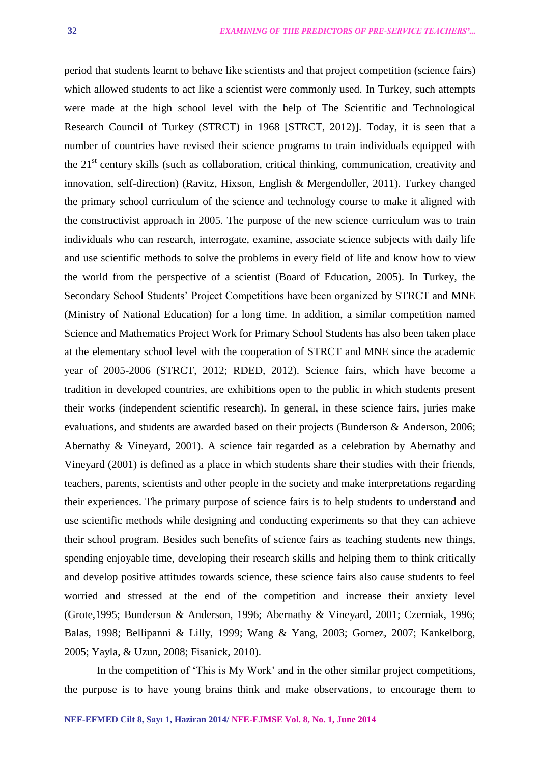period that students learnt to behave like scientists and that project competition (science fairs) which allowed students to act like a scientist were commonly used. In Turkey, such attempts were made at the high school level with the help of The Scientific and Technological Research Council of Turkey (STRCT) in 1968 [STRCT, 2012)]. Today, it is seen that a number of countries have revised their science programs to train individuals equipped with the 21st century skills (such as collaboration, critical thinking, communication, creativity and innovation, self-direction) (Ravitz, Hixson, English & Mergendoller, 2011). Turkey changed the primary school curriculum of the science and technology course to make it aligned with the constructivist approach in 2005. The purpose of the new science curriculum was to train individuals who can research, interrogate, examine, associate science subjects with daily life and use scientific methods to solve the problems in every field of life and know how to view the world from the perspective of a scientist (Board of Education, 2005). In Turkey, the Secondary School Students' Project Competitions have been organized by STRCT and MNE (Ministry of National Education) for a long time. In addition, a similar competition named Science and Mathematics Project Work for Primary School Students has also been taken place at the elementary school level with the cooperation of STRCT and MNE since the academic year of 2005-2006 (STRCT, 2012; RDED, 2012). Science fairs, which have become a tradition in developed countries, are exhibitions open to the public in which students present their works (independent scientific research). In general, in these science fairs, juries make evaluations, and students are awarded based on their projects (Bunderson & Anderson, 2006; Abernathy & Vineyard, 2001). A science fair regarded as a celebration by Abernathy and Vineyard (2001) is defined as a place in which students share their studies with their friends, teachers, parents, scientists and other people in the society and make interpretations regarding their experiences. The primary purpose of science fairs is to help students to understand and use scientific methods while designing and conducting experiments so that they can achieve their school program. Besides such benefits of science fairs as teaching students new things, spending enjoyable time, developing their research skills and helping them to think critically and develop positive attitudes towards science, these science fairs also cause students to feel worried and stressed at the end of the competition and increase their anxiety level (Grote,1995; Bunderson & Anderson, 1996; Abernathy & Vineyard, 2001; Czerniak, 1996; Balas, 1998; Bellipanni & Lilly, 1999; Wang & Yang, 2003; Gomez, 2007; Kankelborg, 2005; Yayla, & Uzun, 2008; Fisanick, 2010).

In the competition of 'This is My Work' and in the other similar project competitions, the purpose is to have young brains think and make observations, to encourage them to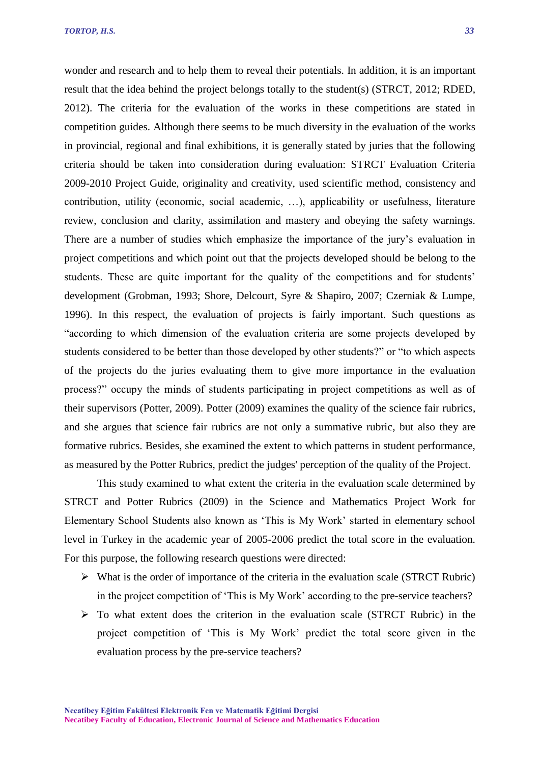wonder and research and to help them to reveal their potentials. In addition, it is an important result that the idea behind the project belongs totally to the student(s) (STRCT, 2012; RDED, 2012). The criteria for the evaluation of the works in these competitions are stated in competition guides. Although there seems to be much diversity in the evaluation of the works in provincial, regional and final exhibitions, it is generally stated by juries that the following criteria should be taken into consideration during evaluation: STRCT Evaluation Criteria 2009-2010 Project Guide, originality and creativity, used scientific method, consistency and contribution, utility (economic, social academic, …), applicability or usefulness, literature review, conclusion and clarity, assimilation and mastery and obeying the safety warnings. There are a number of studies which emphasize the importance of the jury's evaluation in project competitions and which point out that the projects developed should be belong to the students. These are quite important for the quality of the competitions and for students' development (Grobman, 1993; Shore, Delcourt, Syre & Shapiro, 2007; Czerniak & Lumpe, 1996). In this respect, the evaluation of projects is fairly important. Such questions as "according to which dimension of the evaluation criteria are some projects developed by students considered to be better than those developed by other students?" or "to which aspects of the projects do the juries evaluating them to give more importance in the evaluation process?" occupy the minds of students participating in project competitions as well as of their supervisors (Potter, 2009). Potter (2009) examines the quality of the science fair rubrics, and she argues that science fair rubrics are not only a summative rubric, but also they are formative rubrics. Besides, she examined the extent to which patterns in student performance, as measured by the Potter Rubrics, predict the judges' perception of the quality of the Project.

This study examined to what extent the criteria in the evaluation scale determined by STRCT and Potter Rubrics (2009) in the Science and Mathematics Project Work for Elementary School Students also known as 'This is My Work' started in elementary school level in Turkey in the academic year of 2005-2006 predict the total score in the evaluation. For this purpose, the following research questions were directed:

- $\triangleright$  What is the order of importance of the criteria in the evaluation scale (STRCT Rubric) in the project competition of 'This is My Work' according to the pre-service teachers?
- $\triangleright$  To what extent does the criterion in the evaluation scale (STRCT Rubric) in the project competition of 'This is My Work' predict the total score given in the evaluation process by the pre-service teachers?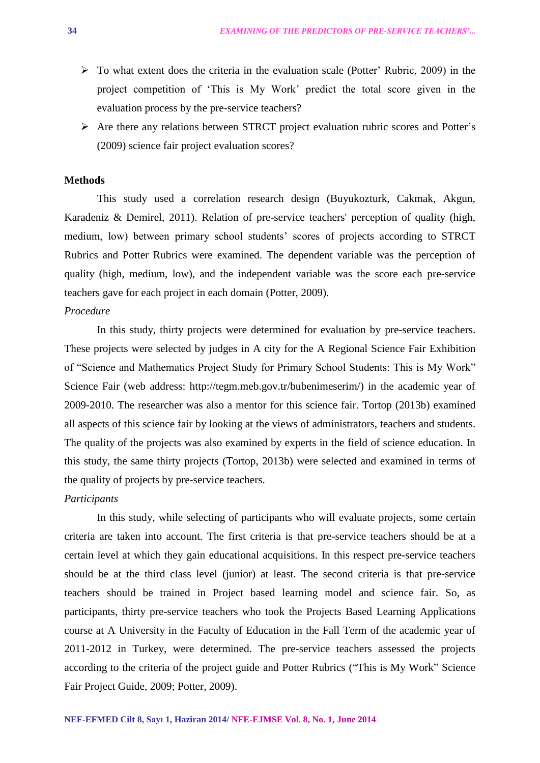- $\triangleright$  To what extent does the criteria in the evaluation scale (Potter' Rubric, 2009) in the project competition of 'This is My Work' predict the total score given in the evaluation process by the pre-service teachers?
- $\triangleright$  Are there any relations between STRCT project evaluation rubric scores and Potter's (2009) science fair project evaluation scores?

#### **Methods**

This study used a correlation research design (Buyukozturk, Cakmak, Akgun, Karadeniz & Demirel, 2011). Relation of pre-service teachers' perception of quality (high, medium, low) between primary school students' scores of projects according to STRCT Rubrics and Potter Rubrics were examined. The dependent variable was the perception of quality (high, medium, low), and the independent variable was the score each pre-service teachers gave for each project in each domain (Potter, 2009).

#### *Procedure*

In this study, thirty projects were determined for evaluation by pre-service teachers. These projects were selected by judges in A city for the A Regional Science Fair Exhibition of "Science and Mathematics Project Study for Primary School Students: This is My Work" Science Fair (web address: http://tegm.meb.gov.tr/bubenimeserim/) in the academic year of 2009-2010. The researcher was also a mentor for this science fair. Tortop (2013b) examined all aspects of this science fair by looking at the views of administrators, teachers and students. The quality of the projects was also examined by experts in the field of science education. In this study, the same thirty projects (Tortop, 2013b) were selected and examined in terms of the quality of projects by pre-service teachers.

#### *Participants*

In this study, while selecting of participants who will evaluate projects, some certain criteria are taken into account. The first criteria is that pre-service teachers should be at a certain level at which they gain educational acquisitions. In this respect pre-service teachers should be at the third class level (junior) at least. The second criteria is that pre-service teachers should be trained in Project based learning model and science fair. So, as participants, thirty pre-service teachers who took the Projects Based Learning Applications course at A University in the Faculty of Education in the Fall Term of the academic year of 2011-2012 in Turkey, were determined. The pre-service teachers assessed the projects according to the criteria of the project guide and Potter Rubrics ("This is My Work" Science Fair Project Guide, 2009; Potter, 2009).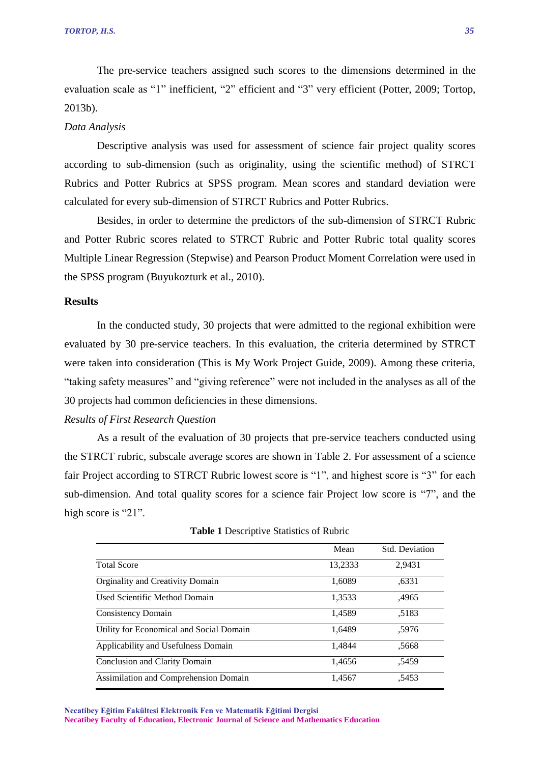The pre-service teachers assigned such scores to the dimensions determined in the evaluation scale as "1" inefficient, "2" efficient and "3" very efficient (Potter, 2009; Tortop, 2013b).

#### *Data Analysis*

Descriptive analysis was used for assessment of science fair project quality scores according to sub-dimension (such as originality, using the scientific method) of STRCT Rubrics and Potter Rubrics at SPSS program. Mean scores and standard deviation were calculated for every sub-dimension of STRCT Rubrics and Potter Rubrics.

Besides, in order to determine the predictors of the sub-dimension of STRCT Rubric and Potter Rubric scores related to STRCT Rubric and Potter Rubric total quality scores Multiple Linear Regression (Stepwise) and Pearson Product Moment Correlation were used in the SPSS program (Buyukozturk et al., 2010).

#### **Results**

In the conducted study, 30 projects that were admitted to the regional exhibition were evaluated by 30 pre-service teachers. In this evaluation, the criteria determined by STRCT were taken into consideration (This is My Work Project Guide, 2009). Among these criteria, "taking safety measures" and "giving reference" were not included in the analyses as all of the 30 projects had common deficiencies in these dimensions.

#### *Results of First Research Question*

As a result of the evaluation of 30 projects that pre-service teachers conducted using the STRCT rubric, subscale average scores are shown in Table 2. For assessment of a science fair Project according to STRCT Rubric lowest score is "1", and highest score is "3" for each sub-dimension. And total quality scores for a science fair Project low score is "7", and the high score is "21".

|                                          | Mean    | Std. Deviation |
|------------------------------------------|---------|----------------|
| <b>Total Score</b>                       | 13,2333 | 2,9431         |
| Orginality and Creativity Domain         | 1.6089  | .6331          |
| Used Scientific Method Domain            | 1,3533  | ,4965          |
| <b>Consistency Domain</b>                | 1,4589  | .5183          |
| Utility for Economical and Social Domain | 1,6489  | .5976          |
| Applicability and Usefulness Domain      | 1.4844  | .5668          |
| Conclusion and Clarity Domain            | 1.4656  | .5459          |
| Assimilation and Comprehension Domain    | 1,4567  | .5453          |

**Table 1** Descriptive Statistics of Rubric

**Necatibey Eğitim Fakültesi Elektronik Fen ve Matematik Eğitimi Dergisi Necatibey Faculty of Education, Electronic Journal of Science and Mathematics Education**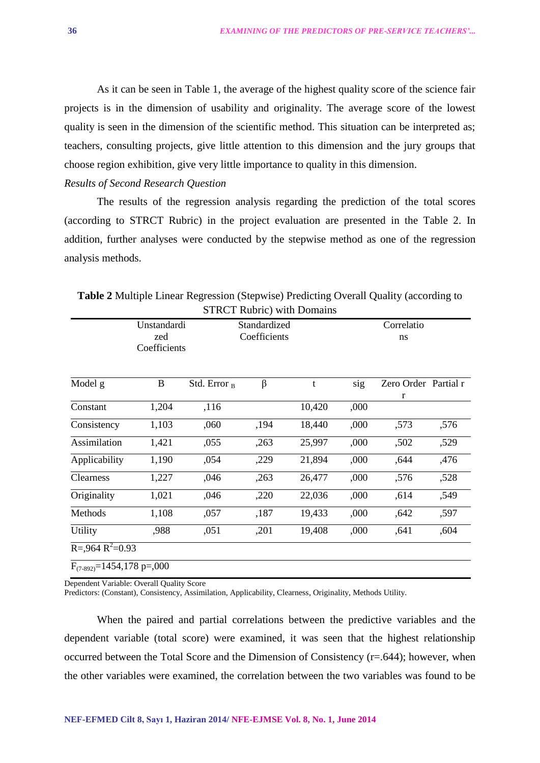As it can be seen in Table 1, the average of the highest quality score of the science fair projects is in the dimension of usability and originality. The average score of the lowest quality is seen in the dimension of the scientific method. This situation can be interpreted as; teachers, consulting projects, give little attention to this dimension and the jury groups that choose region exhibition, give very little importance to quality in this dimension.

#### *Results of Second Research Question*

The results of the regression analysis regarding the prediction of the total scores (according to STRCT Rubric) in the project evaluation are presented in the Table 2. In addition, further analyses were conducted by the stepwise method as one of the regression analysis methods.

|                                            | Unstandardi<br>zed |                 | Standardized<br>Coefficients |        |      | Correlatio<br>ns          |      |
|--------------------------------------------|--------------------|-----------------|------------------------------|--------|------|---------------------------|------|
|                                            | Coefficients       |                 |                              |        |      |                           |      |
| Model g                                    | B                  | Std. Error $_B$ | β                            | t      | sig  | Zero Order Partial r<br>r |      |
| Constant                                   | 1,204              | ,116            |                              | 10,420 | ,000 |                           |      |
| Consistency                                | 1,103              | ,060            | ,194                         | 18,440 | ,000 | ,573                      | ,576 |
| Assimilation                               | 1,421              | ,055            | ,263                         | 25,997 | ,000 | ,502                      | ,529 |
| Applicability                              | 1,190              | ,054            | ,229                         | 21,894 | ,000 | ,644                      | ,476 |
| Clearness                                  | 1,227              | ,046            | ,263                         | 26,477 | ,000 | ,576                      | ,528 |
| Originality                                | 1,021              | ,046            | ,220                         | 22,036 | ,000 | ,614                      | ,549 |
| Methods                                    | 1,108              | ,057            | ,187                         | 19,433 | ,000 | ,642                      | ,597 |
| Utility                                    | ,988               | ,051            | ,201                         | 19,408 | ,000 | ,641                      | ,604 |
| $R = 0.964 R^2 = 0.93$                     |                    |                 |                              |        |      |                           |      |
| $F_{(7-892)} = 1454,178 \text{ p} = 0.000$ |                    |                 |                              |        |      |                           |      |

**Table 2** Multiple Linear Regression (Stepwise) Predicting Overall Quality (according to STRCT Rubric) with Domains

Dependent Variable: Overall Quality Score

Predictors: (Constant), Consistency, Assimilation, Applicability, Clearness, Originality, Methods Utility.

When the paired and partial correlations between the predictive variables and the dependent variable (total score) were examined, it was seen that the highest relationship occurred between the Total Score and the Dimension of Consistency (r=.644); however, when the other variables were examined, the correlation between the two variables was found to be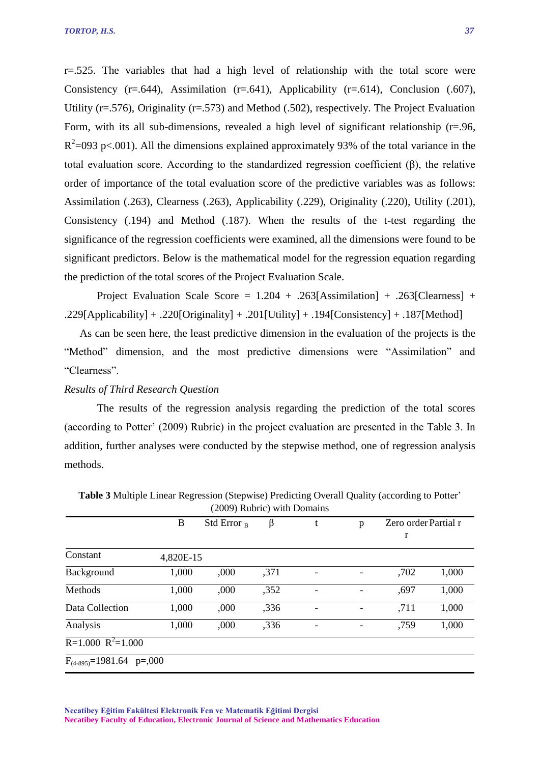r=.525. The variables that had a high level of relationship with the total score were Consistency (r=.644), Assimilation (r=.641), Applicability (r=.614), Conclusion (.607), Utility (r=.576), Originality (r=.573) and Method (.502), respectively. The Project Evaluation Form, with its all sub-dimensions, revealed a high level of significant relationship (r=.96,  $R^2$ =093 p<.001). All the dimensions explained approximately 93% of the total variance in the total evaluation score. According to the standardized regression coefficient (β), the relative order of importance of the total evaluation score of the predictive variables was as follows: Assimilation (.263), Clearness (.263), Applicability (.229), Originality (.220), Utility (.201), Consistency (.194) and Method (.187). When the results of the t-test regarding the significance of the regression coefficients were examined, all the dimensions were found to be significant predictors. Below is the mathematical model for the regression equation regarding the prediction of the total scores of the Project Evaluation Scale.

Project Evaluation Scale Score =  $1.204 + .263$ [Assimilation] + .263[Clearness] + .229[Applicability] + .220[Originality] + .201[Utility] + .194[Consistency] + .187[Method]

As can be seen here, the least predictive dimension in the evaluation of the projects is the "Method" dimension, and the most predictive dimensions were "Assimilation" and "Clearness".

#### *Results of Third Research Question*

The results of the regression analysis regarding the prediction of the total scores (according to Potter' (2009) Rubric) in the project evaluation are presented in the Table 3. In addition, further analyses were conducted by the stepwise method, one of regression analysis methods.

|                                           | B         | Std Error $_B$ | β    | p | Zero order Partial r |       |
|-------------------------------------------|-----------|----------------|------|---|----------------------|-------|
|                                           |           |                |      |   | r                    |       |
| Constant                                  | 4,820E-15 |                |      |   |                      |       |
| Background                                | 1,000     | ,000           | ,371 |   | ,702                 | 1,000 |
| Methods                                   | 1,000     | ,000           | ,352 |   | ,697                 | 1,000 |
| Data Collection                           | 1,000     | ,000           | ,336 |   | ,711                 | 1,000 |
| Analysis                                  | 1,000     | ,000           | ,336 |   | ,759                 | 1,000 |
| $R=1.000 R^2=1.000$                       |           |                |      |   |                      |       |
| $F_{(4-895)} = 1981.64 \text{ p} = 0.000$ |           |                |      |   |                      |       |

**Table 3** Multiple Linear Regression (Stepwise) Predicting Overall Quality (according to Potter' (2009) Rubric) with Domains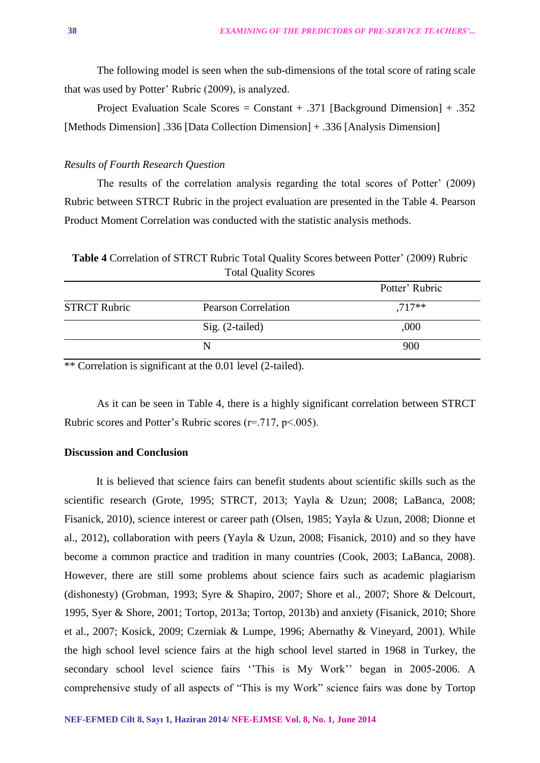The following model is seen when the sub-dimensions of the total score of rating scale that was used by Potter' Rubric (2009), is analyzed.

Project Evaluation Scale Scores = Constant  $+ .371$  [Background Dimension]  $+ .352$ [Methods Dimension] .336 [Data Collection Dimension] + .336 [Analysis Dimension]

#### *Results of Fourth Research Question*

The results of the correlation analysis regarding the total scores of Potter' (2009) Rubric between STRCT Rubric in the project evaluation are presented in the Table 4. Pearson Product Moment Correlation was conducted with the statistic analysis methods.

**Table 4** Correlation of STRCT Rubric Total Quality Scores between Potter' (2009) Rubric Total Quality Scores

|                     |                            | Potter' Rubric |
|---------------------|----------------------------|----------------|
| <b>STRCT Rubric</b> | <b>Pearson Correlation</b> | $.717**$       |
|                     | Sig. (2-tailed)            | ,000           |
|                     |                            | 900            |

 $**$  Correlation is significant at the 0.01 level (2-tailed).

As it can be seen in Table 4, there is a highly significant correlation between STRCT Rubric scores and Potter's Rubric scores (r=.717, p<.005).

#### **Discussion and Conclusion**

It is believed that science fairs can benefit students about scientific skills such as the scientific research (Grote, 1995; STRCT, 2013; Yayla & Uzun; 2008; LaBanca, 2008; Fisanick, 2010), science interest or career path (Olsen, 1985; Yayla & Uzun, 2008; Dionne et al., 2012), collaboration with peers (Yayla & Uzun, 2008; Fisanick, 2010) and so they have become a common practice and tradition in many countries (Cook, 2003; LaBanca, 2008). However, there are still some problems about science fairs such as academic plagiarism (dishonesty) (Grobman, 1993; Syre & Shapiro, 2007; Shore et al., 2007; Shore & Delcourt, 1995, Syer & Shore, 2001; Tortop, 2013a; Tortop, 2013b) and anxiety (Fisanick, 2010; Shore et al., 2007; Kosick, 2009; Czerniak & Lumpe, 1996; Abernathy & Vineyard, 2001). While the high school level science fairs at the high school level started in 1968 in Turkey, the secondary school level science fairs ''This is My Work'' began in 2005-2006. A comprehensive study of all aspects of "This is my Work" science fairs was done by Tortop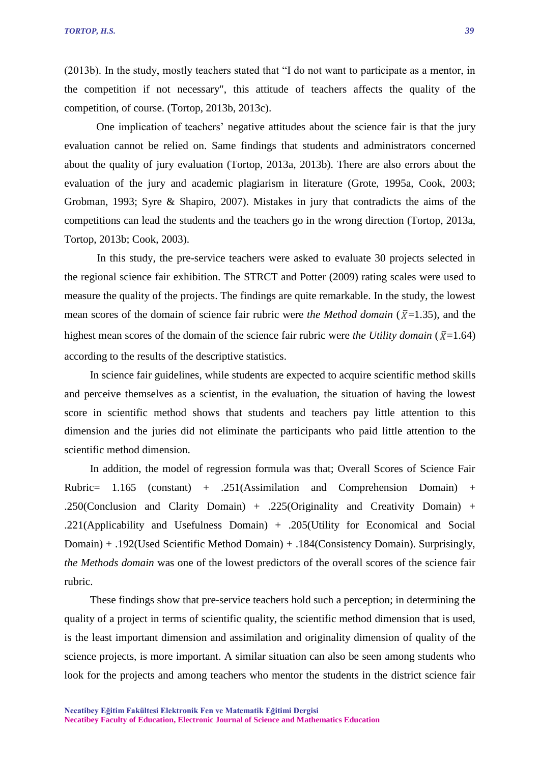(2013b). In the study, mostly teachers stated that "I do not want to participate as a mentor, in the competition if not necessary", this attitude of teachers affects the quality of the competition, of course. (Tortop, 2013b, 2013c).

One implication of teachers' negative attitudes about the science fair is that the jury evaluation cannot be relied on. Same findings that students and administrators concerned about the quality of jury evaluation (Tortop, 2013a, 2013b). There are also errors about the evaluation of the jury and academic plagiarism in literature (Grote, 1995a, Cook, 2003; Grobman, 1993; Syre & Shapiro, 2007). Mistakes in jury that contradicts the aims of the competitions can lead the students and the teachers go in the wrong direction (Tortop, 2013a, Tortop, 2013b; Cook, 2003).

In this study, the pre-service teachers were asked to evaluate 30 projects selected in the regional science fair exhibition. The STRCT and Potter (2009) rating scales were used to measure the quality of the projects. The findings are quite remarkable. In the study, the lowest mean scores of the domain of science fair rubric were *the Method domain* ( $\bar{x}$ =1.35), and the highest mean scores of the domain of the science fair rubric were *the Utility domain* ( $\bar{x}$ =1.64) according to the results of the descriptive statistics.

In science fair guidelines, while students are expected to acquire scientific method skills and perceive themselves as a scientist, in the evaluation, the situation of having the lowest score in scientific method shows that students and teachers pay little attention to this dimension and the juries did not eliminate the participants who paid little attention to the scientific method dimension.

In addition, the model of regression formula was that; Overall Scores of Science Fair Rubric= 1.165 (constant) + .251(Assimilation and Comprehension Domain) + .250(Conclusion and Clarity Domain) + .225(Originality and Creativity Domain) + .221(Applicability and Usefulness Domain) + .205(Utility for Economical and Social Domain) + .192(Used Scientific Method Domain) + .184(Consistency Domain). Surprisingly, *the Methods domain* was one of the lowest predictors of the overall scores of the science fair rubric.

These findings show that pre-service teachers hold such a perception; in determining the quality of a project in terms of scientific quality, the scientific method dimension that is used, is the least important dimension and assimilation and originality dimension of quality of the science projects, is more important. A similar situation can also be seen among students who look for the projects and among teachers who mentor the students in the district science fair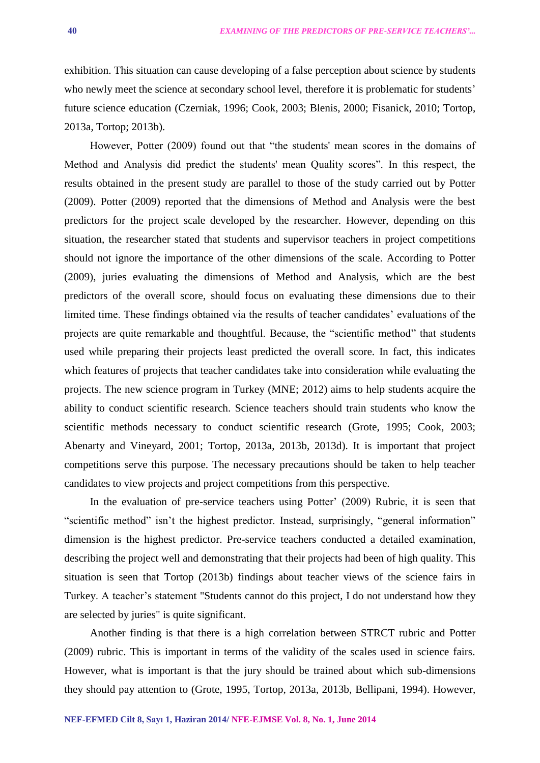exhibition. This situation can cause developing of a false perception about science by students who newly meet the science at secondary school level, therefore it is problematic for students' future science education (Czerniak, 1996; Cook, 2003; Blenis, 2000; Fisanick, 2010; Tortop, 2013a, Tortop; 2013b).

However, Potter (2009) found out that "the students' mean scores in the domains of Method and Analysis did predict the students' mean Quality scores". In this respect, the results obtained in the present study are parallel to those of the study carried out by Potter (2009). Potter (2009) reported that the dimensions of Method and Analysis were the best predictors for the project scale developed by the researcher. However, depending on this situation, the researcher stated that students and supervisor teachers in project competitions should not ignore the importance of the other dimensions of the scale. According to Potter (2009), juries evaluating the dimensions of Method and Analysis, which are the best predictors of the overall score, should focus on evaluating these dimensions due to their limited time. These findings obtained via the results of teacher candidates' evaluations of the projects are quite remarkable and thoughtful. Because, the "scientific method" that students used while preparing their projects least predicted the overall score. In fact, this indicates which features of projects that teacher candidates take into consideration while evaluating the projects. The new science program in Turkey (MNE; 2012) aims to help students acquire the ability to conduct scientific research. Science teachers should train students who know the scientific methods necessary to conduct scientific research (Grote, 1995; Cook, 2003; Abenarty and Vineyard, 2001; Tortop, 2013a, 2013b, 2013d). It is important that project competitions serve this purpose. The necessary precautions should be taken to help teacher candidates to view projects and project competitions from this perspective.

In the evaluation of pre-service teachers using Potter' (2009) Rubric, it is seen that "scientific method" isn't the highest predictor. Instead, surprisingly, "general information" dimension is the highest predictor. Pre-service teachers conducted a detailed examination, describing the project well and demonstrating that their projects had been of high quality. This situation is seen that Tortop (2013b) findings about teacher views of the science fairs in Turkey. A teacher's statement "Students cannot do this project, I do not understand how they are selected by juries" is quite significant.

Another finding is that there is a high correlation between STRCT rubric and Potter (2009) rubric. This is important in terms of the validity of the scales used in science fairs. However, what is important is that the jury should be trained about which sub-dimensions they should pay attention to (Grote, 1995, Tortop, 2013a, 2013b, Bellipani, 1994). However,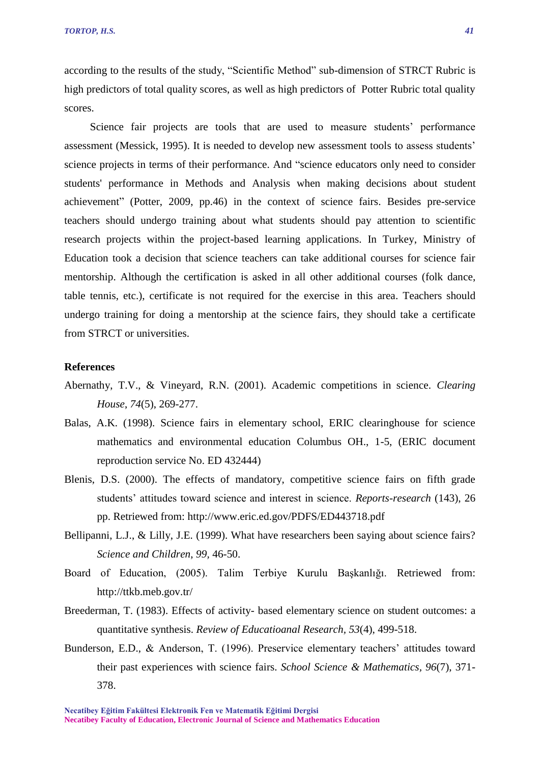according to the results of the study, "Scientific Method" sub-dimension of STRCT Rubric is high predictors of total quality scores, as well as high predictors of Potter Rubric total quality scores.

Science fair projects are tools that are used to measure students' performance assessment (Messick, 1995). It is needed to develop new assessment tools to assess students' science projects in terms of their performance. And "science educators only need to consider students' performance in Methods and Analysis when making decisions about student achievement" (Potter, 2009, pp.46) in the context of science fairs. Besides pre-service teachers should undergo training about what students should pay attention to scientific research projects within the project-based learning applications. In Turkey, Ministry of Education took a decision that science teachers can take additional courses for science fair mentorship. Although the certification is asked in all other additional courses (folk dance, table tennis, etc.), certificate is not required for the exercise in this area. Teachers should undergo training for doing a mentorship at the science fairs, they should take a certificate from STRCT or universities.

#### **References**

- Abernathy, T.V., & Vineyard, R.N. (2001). Academic competitions in science. *Clearing House*, *74*(5), 269-277.
- Balas, A.K. (1998). Science fairs in elementary school, ERIC clearinghouse for science mathematics and environmental education Columbus OH., 1-5, (ERIC document reproduction service No. ED 432444)
- Blenis, D.S. (2000). The effects of mandatory, competitive science fairs on fifth grade students' attitudes toward science and interest in science. *Reports-research* (143), 26 pp. Retriewed from: http://www.eric.ed.gov/PDFS/ED443718.pdf
- Bellipanni, L.J., & Lilly, J.E. (1999). What have researchers been saying about science fairs? *Science and Children*, *99,* 46-50.
- Board of Education, (2005). Talim Terbiye Kurulu Başkanlığı. Retriewed from: http://ttkb.meb.gov.tr/
- Breederman, T. (1983). Effects of activity- based elementary science on student outcomes: a quantitative synthesis. *Review of Educatioanal Research, 53*(4), 499-518.
- Bunderson, E.D., & Anderson, T. (1996). Preservice elementary teachers' attitudes toward their past experiences with science fairs. *School Science & Mathematics, 96*(7), 371- 378.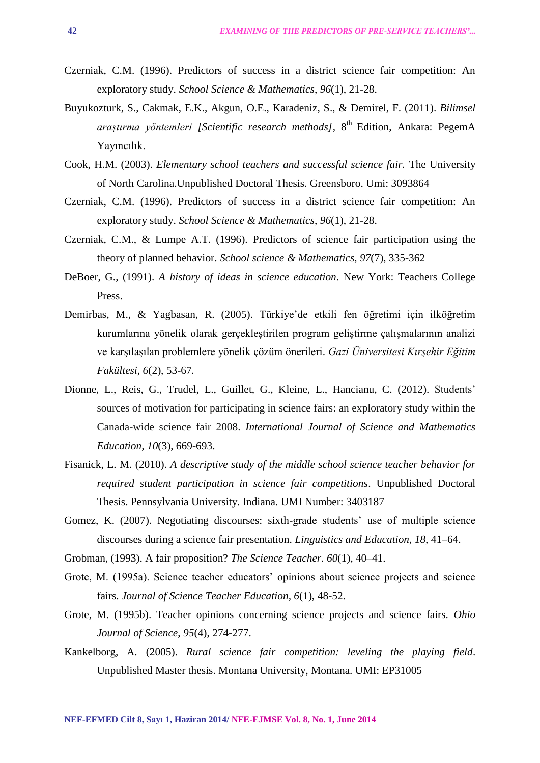- Czerniak, C.M. (1996). Predictors of success in a district science fair competition: An exploratory study. *School Science & Mathematics*, *96*(1), 21-28.
- Buyukozturk, S., Cakmak, E.K., Akgun, O.E., Karadeniz, S., & Demirel, F. (2011). *Bilimsel araştırma yöntemleri [Scientific research methods],* 8 th Edition, Ankara: PegemA Yayıncılık.
- Cook, H.M. (2003). *Elementary school teachers and successful science fair.* The University of North Carolina.Unpublished Doctoral Thesis. Greensboro. Umi: 3093864
- Czerniak, C.M. (1996). Predictors of success in a district science fair competition: An exploratory study. *School Science & Mathematics*, *96*(1), 21-28.
- Czerniak, C.M., & Lumpe A.T. (1996). Predictors of science fair participation using the theory of planned behavior. *School science & Mathematics, 97*(7), 335-362
- DeBoer, G., (1991). *A history of ideas in science education*. New York: Teachers College Press.
- Demirbas, M., & Yagbasan, R. (2005). Türkiye'de etkili fen öğretimi için ilköğretim kurumlarına yönelik olarak gerçekleştirilen program geliştirme çalışmalarının analizi ve karşılaşılan problemlere yönelik çözüm önerileri. *Gazi Üniversitesi Kırşehir Eğitim Fakültesi, 6*(2), 53-67*.*
- Dionne, L., Reis, G., Trudel, L., Guillet, G., Kleine, L., Hancianu, C. (2012). Students' sources of motivation for participating in science fairs: an exploratory study within the Canada-wide science fair 2008. *International Journal of Science and Mathematics Education, 10*(3), 669-693.
- Fisanick, L. M. (2010). *A descriptive study of the middle school science teacher behavior for required student participation in science fair competitions*. Unpublished Doctoral Thesis. Pennsylvania University. Indiana. UMI Number: 3403187
- Gomez, K. (2007). Negotiating discourses: sixth-grade students' use of multiple science discourses during a science fair presentation. *Linguistics and Education*, *18,* 41–64.
- Grobman, (1993). A fair proposition? *The Science Teacher. 60*(1), 40–41.
- Grote, M. (1995a). Science teacher educators' opinions about science projects and science fairs. *Journal of Science Teacher Education, 6*(1), 48-52.
- Grote, M. (1995b). Teacher opinions concerning science projects and science fairs. *Ohio Journal of Science*, *95*(4), 274-277.
- Kankelborg, A. (2005). *Rural science fair competition: leveling the playing field*. Unpublished Master thesis. Montana University, Montana. UMI: EP31005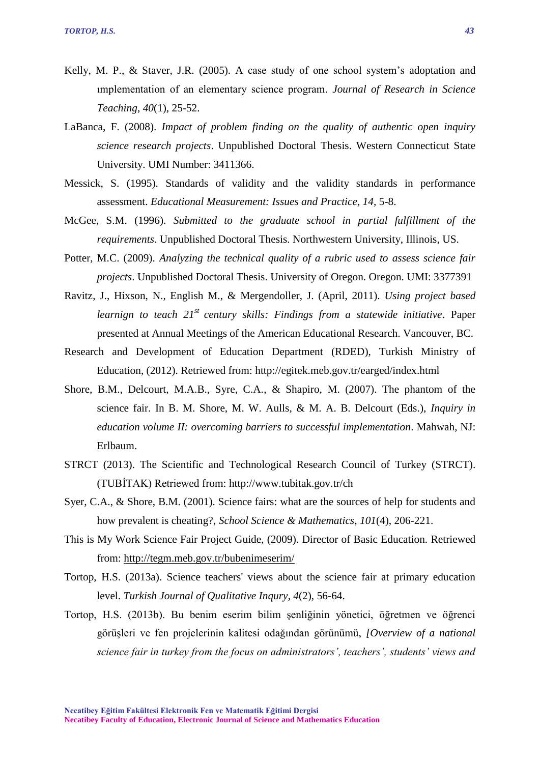- Kelly, M. P., & Staver, J.R. (2005). A case study of one school system's adoptation and ımplementation of an elementary science program. *Journal of Research in Science Teaching*, *40*(1), 25-52.
- LaBanca, F. (2008). *Impact of problem finding on the quality of authentic open inquiry science research projects*. Unpublished Doctoral Thesis. Western Connecticut State University. UMI Number: 3411366.
- Messick, S. (1995). Standards of validity and the validity standards in performance assessment. *Educational Measurement: Issues and Practice, 14,* 5-8.
- McGee, S.M. (1996). *Submitted to the graduate school in partial fulfillment of the requirements*. Unpublished Doctoral Thesis. Northwestern University, Illinois, US.
- Potter, M.C. (2009). *Analyzing the technical quality of a rubric used to assess science fair projects*. Unpublished Doctoral Thesis. University of Oregon. Oregon. UMI: 3377391
- Ravitz, J., Hixson, N., English M., & Mergendoller, J. (April, 2011). *Using project based learnign to teach 21st century skills: Findings from a statewide initiative*. Paper presented at Annual Meetings of the American Educational Research. Vancouver, BC.
- Research and Development of Education Department (RDED), Turkish Ministry of Education, (2012). Retriewed from: http://egitek.meb.gov.tr/earged/index.html
- Shore, B.M., Delcourt, M.A.B., Syre, C.A., & Shapiro, M. (2007). The phantom of the science fair. In B. M. Shore, M. W. Aulls, & M. A. B. Delcourt (Eds.), *Inquiry in education volume II: overcoming barriers to successful implementation*. Mahwah, NJ: Erlbaum.
- STRCT (2013). The Scientific and Technological Research Council of Turkey (STRCT). (TUBİTAK) Retriewed from: http://www.tubitak.gov.tr/ch
- Syer, C.A., & Shore, B.M. (2001). Science fairs: what are the sources of help for students and how prevalent is cheating?, *School Science & Mathematics*, *101*(4), 206-221.
- This is My Work Science Fair Project Guide, (2009). Director of Basic Education. Retriewed from:<http://tegm.meb.gov.tr/bubenimeserim/>
- Tortop, H.S. (2013a). Science teachers' views about the science fair at primary education level. *Turkish Journal of Qualitative Inqury*, *4*(2), 56-64.
- Tortop, H.S. (2013b). Bu benim eserim bilim şenliğinin yönetici, öğretmen ve öğrenci görüşleri ve fen projelerinin kalitesi odağından görünümü, *[Overview of a national science fair in turkey from the focus on administrators', teachers', students' views and*